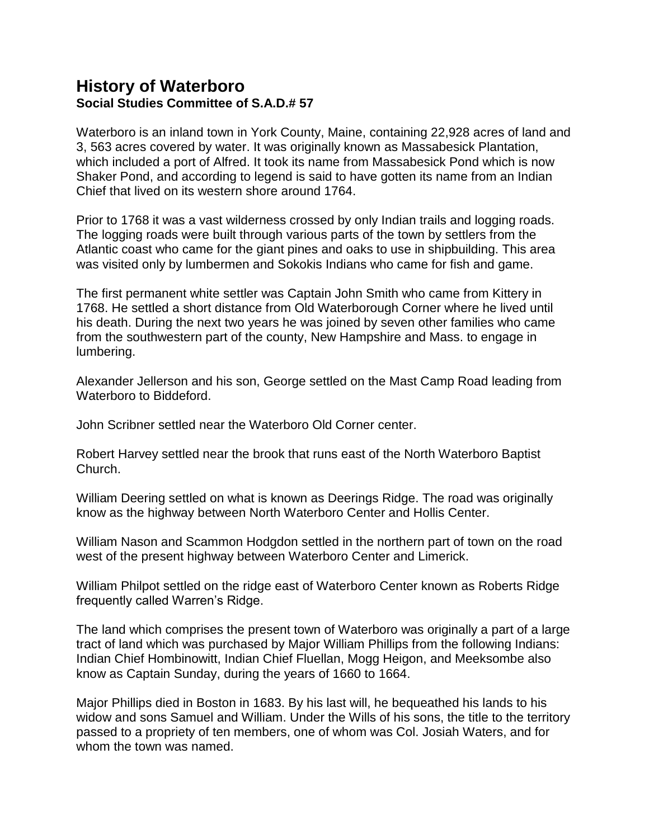# **History of Waterboro Social Studies Committee of S.A.D.# 57**

Waterboro is an inland town in York County, Maine, containing 22,928 acres of land and 3, 563 acres covered by water. It was originally known as Massabesick Plantation, which included a port of Alfred. It took its name from Massabesick Pond which is now Shaker Pond, and according to legend is said to have gotten its name from an Indian Chief that lived on its western shore around 1764.

Prior to 1768 it was a vast wilderness crossed by only Indian trails and logging roads. The logging roads were built through various parts of the town by settlers from the Atlantic coast who came for the giant pines and oaks to use in shipbuilding. This area was visited only by lumbermen and Sokokis Indians who came for fish and game.

The first permanent white settler was Captain John Smith who came from Kittery in 1768. He settled a short distance from Old Waterborough Corner where he lived until his death. During the next two years he was joined by seven other families who came from the southwestern part of the county, New Hampshire and Mass. to engage in lumbering.

Alexander Jellerson and his son, George settled on the Mast Camp Road leading from Waterboro to Biddeford.

John Scribner settled near the Waterboro Old Corner center.

Robert Harvey settled near the brook that runs east of the North Waterboro Baptist Church.

William Deering settled on what is known as Deerings Ridge. The road was originally know as the highway between North Waterboro Center and Hollis Center.

William Nason and Scammon Hodgdon settled in the northern part of town on the road west of the present highway between Waterboro Center and Limerick.

William Philpot settled on the ridge east of Waterboro Center known as Roberts Ridge frequently called Warren's Ridge.

The land which comprises the present town of Waterboro was originally a part of a large tract of land which was purchased by Major William Phillips from the following Indians: Indian Chief Hombinowitt, Indian Chief Fluellan, Mogg Heigon, and Meeksombe also know as Captain Sunday, during the years of 1660 to 1664.

Major Phillips died in Boston in 1683. By his last will, he bequeathed his lands to his widow and sons Samuel and William. Under the Wills of his sons, the title to the territory passed to a propriety of ten members, one of whom was Col. Josiah Waters, and for whom the town was named.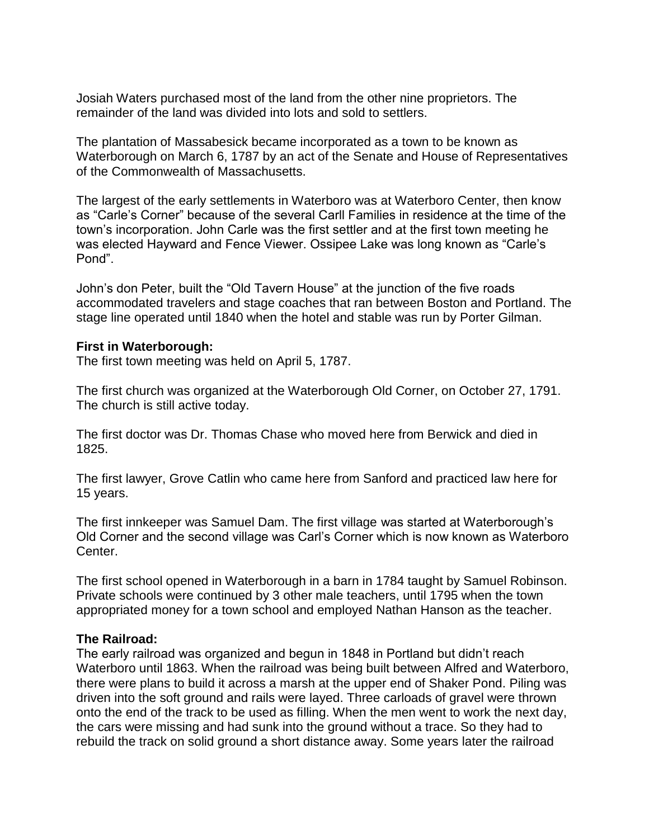Josiah Waters purchased most of the land from the other nine proprietors. The remainder of the land was divided into lots and sold to settlers.

The plantation of Massabesick became incorporated as a town to be known as Waterborough on March 6, 1787 by an act of the Senate and House of Representatives of the Commonwealth of Massachusetts.

The largest of the early settlements in Waterboro was at Waterboro Center, then know as "Carle's Corner" because of the several Carll Families in residence at the time of the town's incorporation. John Carle was the first settler and at the first town meeting he was elected Hayward and Fence Viewer. Ossipee Lake was long known as "Carle's Pond".

John's don Peter, built the "Old Tavern House" at the junction of the five roads accommodated travelers and stage coaches that ran between Boston and Portland. The stage line operated until 1840 when the hotel and stable was run by Porter Gilman.

### **First in Waterborough:**

The first town meeting was held on April 5, 1787.

The first church was organized at the Waterborough Old Corner, on October 27, 1791. The church is still active today.

The first doctor was Dr. Thomas Chase who moved here from Berwick and died in 1825.

The first lawyer, Grove Catlin who came here from Sanford and practiced law here for 15 years.

The first innkeeper was Samuel Dam. The first village was started at Waterborough's Old Corner and the second village was Carl's Corner which is now known as Waterboro Center.

The first school opened in Waterborough in a barn in 1784 taught by Samuel Robinson. Private schools were continued by 3 other male teachers, until 1795 when the town appropriated money for a town school and employed Nathan Hanson as the teacher.

### **The Railroad:**

The early railroad was organized and begun in 1848 in Portland but didn't reach Waterboro until 1863. When the railroad was being built between Alfred and Waterboro, there were plans to build it across a marsh at the upper end of Shaker Pond. Piling was driven into the soft ground and rails were layed. Three carloads of gravel were thrown onto the end of the track to be used as filling. When the men went to work the next day, the cars were missing and had sunk into the ground without a trace. So they had to rebuild the track on solid ground a short distance away. Some years later the railroad